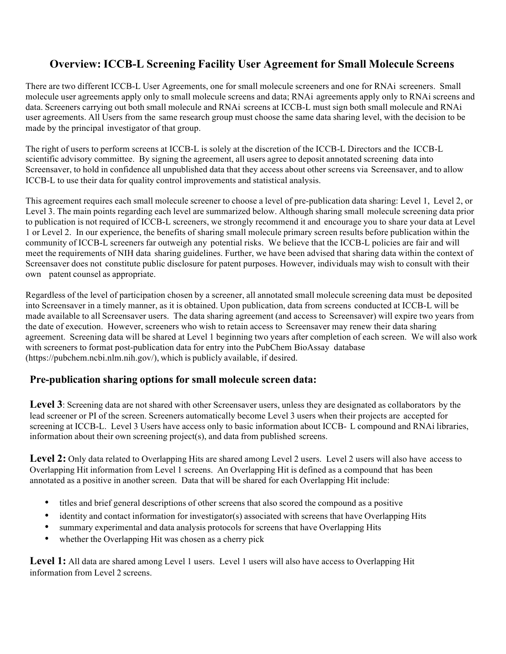# **Overview: ICCB-L Screening Facility User Agreement for Small Molecule Screens**

There are two different ICCB-L User Agreements, one for small molecule screeners and one for RNAi screeners. Small molecule user agreements apply only to small molecule screens and data; RNAi agreements apply only to RNAi screens and data. Screeners carrying out both small molecule and RNAi screens at ICCB-L must sign both small molecule and RNAi user agreements. All Users from the same research group must choose the same data sharing level, with the decision to be made by the principal investigator of that group.

The right of users to perform screens at ICCB-L is solely at the discretion of the ICCB-L Directors and the ICCB-L scientific advisory committee. By signing the agreement, all users agree to deposit annotated screening data into Screensaver, to hold in confidence all unpublished data that they access about other screens via Screensaver, and to allow ICCB-L to use their data for quality control improvements and statistical analysis.

This agreement requires each small molecule screener to choose a level of pre-publication data sharing: Level 1, Level 2, or Level 3. The main points regarding each level are summarized below. Although sharing small molecule screening data prior to publication is not required of ICCB-L screeners, we strongly recommend it and encourage you to share your data at Level 1 or Level 2. In our experience, the benefits of sharing small molecule primary screen results before publication within the community of ICCB-L screeners far outweigh any potential risks. We believe that the ICCB-L policies are fair and will meet the requirements of NIH data sharing guidelines. Further, we have been advised that sharing data within the context of Screensaver does not constitute public disclosure for patent purposes. However, individuals may wish to consult with their own patent counsel as appropriate.

Regardless of the level of participation chosen by a screener, all annotated small molecule screening data must be deposited into Screensaver in a timely manner, as it is obtained. Upon publication, data from screens conducted at ICCB-L will be made available to all Screensaver users. The data sharing agreement (and access to Screensaver) will expire two years from the date of execution. However, screeners who wish to retain access to Screensaver may renew their data sharing agreement. Screening data will be shared at Level 1 beginning two years after completion of each screen. We will also work with screeners to format post-publication data for entry into the PubChem BioAssay database (https://pubchem.ncbi.nlm.nih.gov/), which is publicly available, if desired.

## **Pre-publication sharing options for small molecule screen data:**

**Level 3**: Screening data are not shared with other Screensaver users, unless they are designated as collaborators by the lead screener or PI of the screen. Screeners automatically become Level 3 users when their projects are accepted for screening at ICCB-L. Level 3 Users have access only to basic information about ICCB- L compound and RNAi libraries, information about their own screening project(s), and data from published screens.

**Level 2:** Only data related to Overlapping Hits are shared among Level 2 users. Level 2 users will also have access to Overlapping Hit information from Level 1 screens. An Overlapping Hit is defined as a compound that has been annotated as a positive in another screen. Data that will be shared for each Overlapping Hit include:

- titles and brief general descriptions of other screens that also scored the compound as a positive
- identity and contact information for investigator(s) associated with screens that have Overlapping Hits
- summary experimental and data analysis protocols for screens that have Overlapping Hits
- whether the Overlapping Hit was chosen as a cherry pick

**Level 1:** All data are shared among Level 1 users. Level 1 users will also have access to Overlapping Hit information from Level 2 screens.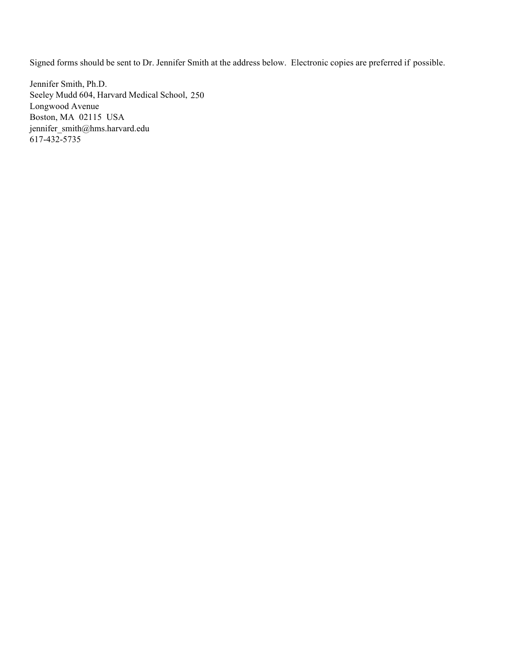Signed forms should be sent to Dr. Jennifer Smith at the address below. Electronic copies are preferred if possible.

Jennifer Smith, Ph.D. Seeley Mudd 604, Harvard Medical School, 250 Longwood Avenue Boston, MA 02115 USA jennifer\_smith@hms.harvard.edu 617-432-5735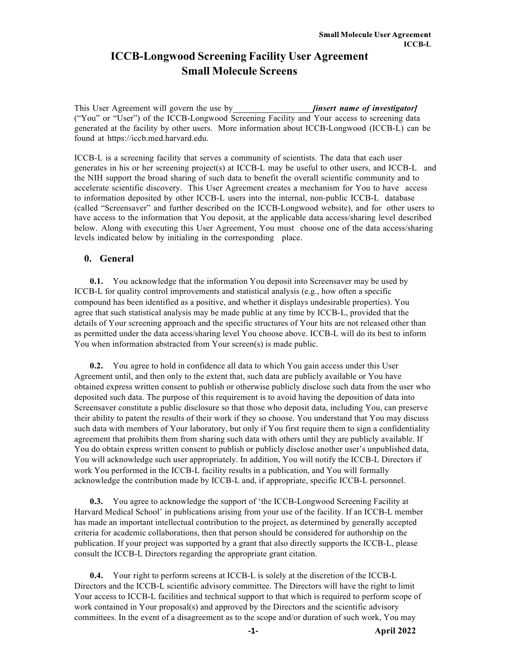# **ICCB-Longwood Screening Facility User Agreement Small Molecule Screens**

This User Agreement will govern the use by *[insert name of investigator]* ("You" or "User") of the ICCB-Longwood Screening Facility and Your access to screening data generated at the facility by other users. More information about ICCB-Longwood (ICCB-L) can be found at https://iccb.med.harvard.edu.

ICCB-L is a screening facility that serves a community of scientists. The data that each user generates in his or her screening project(s) at ICCB-L may be useful to other users, and ICCB-L and the NIH support the broad sharing of such data to benefit the overall scientific community and to accelerate scientific discovery. This User Agreement creates a mechanism for You to have access to information deposited by other ICCB-L users into the internal, non-public ICCB-L database (called "Screensaver" and further described on the ICCB-Longwood website), and for other users to have access to the information that You deposit, at the applicable data access/sharing level described below. Along with executing this User Agreement, You must choose one of the data access/sharing levels indicated below by initialing in the corresponding place.

## **0. General**

**0.1.** You acknowledge that the information You deposit into Screensaver may be used by ICCB-L for quality control improvements and statistical analysis (e.g., how often a specific compound has been identified as a positive, and whether it displays undesirable properties). You agree that such statistical analysis may be made public at any time by ICCB-L, provided that the details of Your screening approach and the specific structures of Your hits are not released other than as permitted under the data access/sharing level You choose above. ICCB-L will do its best to inform You when information abstracted from Your screen(s) is made public.

**0.2.** You agree to hold in confidence all data to which You gain access under this User Agreement until, and then only to the extent that, such data are publicly available or You have obtained express written consent to publish or otherwise publicly disclose such data from the user who deposited such data. The purpose of this requirement is to avoid having the deposition of data into Screensaver constitute a public disclosure so that those who deposit data, including You, can preserve their ability to patent the results of their work if they so choose. You understand that You may discuss such data with members of Your laboratory, but only if You first require them to sign a confidentiality agreement that prohibits them from sharing such data with others until they are publicly available. If You do obtain express written consent to publish or publicly disclose another user's unpublished data, You will acknowledge such user appropriately. In addition, You will notify the ICCB-L Directors if work You performed in the ICCB-L facility results in a publication, and You will formally acknowledge the contribution made by ICCB-L and, if appropriate, specific ICCB-L personnel.

**0.3.** You agree to acknowledge the support of 'the ICCB-Longwood Screening Facility at Harvard Medical School' in publications arising from your use of the facility. If an ICCB-L member has made an important intellectual contribution to the project, as determined by generally accepted criteria for academic collaborations, then that person should be considered for authorship on the publication. If your project was supported by a grant that also directly supports the ICCB-L, please consult the ICCB-L Directors regarding the appropriate grant citation.

**0.4.** Your right to perform screens at ICCB-L is solely at the discretion of the ICCB-L Directors and the ICCB-L scientific advisory committee. The Directors will have the right to limit Your access to ICCB-L facilities and technical support to that which is required to perform scope of work contained in Your proposal(s) and approved by the Directors and the scientific advisory committees. In the event of a disagreement as to the scope and/or duration of such work, You may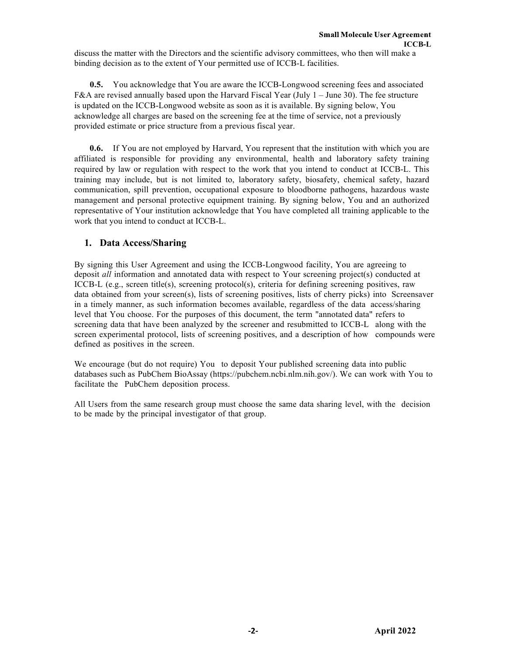discuss the matter with the Directors and the scientific advisory committees, who then will make a binding decision as to the extent of Your permitted use of ICCB-L facilities.

**0.5.** You acknowledge that You are aware the ICCB-Longwood screening fees and associated F&A are revised annually based upon the Harvard Fiscal Year (July 1 – June 30). The fee structure is updated on the ICCB-Longwood website as soon as it is available. By signing below, You acknowledge all charges are based on the screening fee at the time of service, not a previously provided estimate or price structure from a previous fiscal year.

**0.6.** If You are not employed by Harvard, You represent that the institution with which you are affiliated is responsible for providing any environmental, health and laboratory safety training required by law or regulation with respect to the work that you intend to conduct at ICCB-L. This training may include, but is not limited to, laboratory safety, biosafety, chemical safety, hazard communication, spill prevention, occupational exposure to bloodborne pathogens, hazardous waste management and personal protective equipment training. By signing below, You and an authorized representative of Your institution acknowledge that You have completed all training applicable to the work that you intend to conduct at ICCB-L.

## **1. Data Access/Sharing**

By signing this User Agreement and using the ICCB-Longwood facility, You are agreeing to deposit *all* information and annotated data with respect to Your screening project(s) conducted at ICCB-L (e.g., screen title(s), screening protocol(s), criteria for defining screening positives, raw data obtained from your screen(s), lists of screening positives, lists of cherry picks) into Screensaver in a timely manner, as such information becomes available, regardless of the data access/sharing level that You choose. For the purposes of this document, the term "annotated data" refers to screening data that have been analyzed by the screener and resubmitted to ICCB-L along with the screen experimental protocol, lists of screening positives, and a description of how compounds were defined as positives in the screen.

We encourage (but do not require) You to deposit Your published screening data into public databases such as PubChem BioAssay (https://pubchem.ncbi.nlm.nih.gov/). We can work with You to facilitate the PubChem deposition process.

All Users from the same research group must choose the same data sharing level, with the decision to be made by the principal investigator of that group.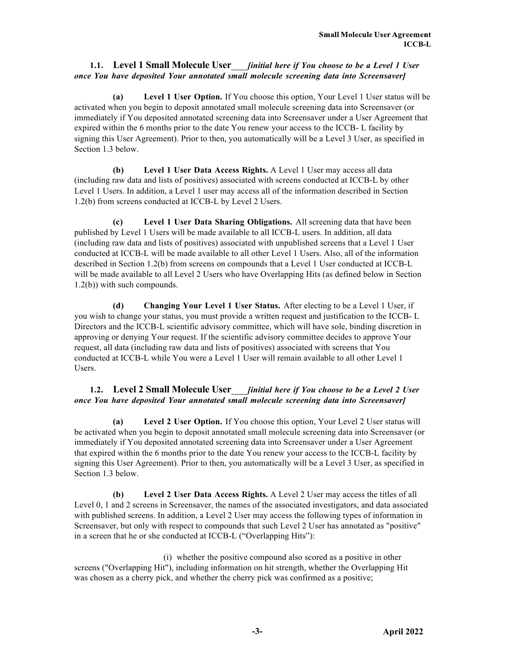## **1.1. Level 1 Small Molecule User** *[initial here if You choose to be a Level 1 User once You have deposited Your annotated small molecule screening data into Screensaver]*

**(a) Level 1 User Option.** If You choose this option, Your Level 1 User status will be activated when you begin to deposit annotated small molecule screening data into Screensaver (or immediately if You deposited annotated screening data into Screensaver under a User Agreement that expired within the 6 months prior to the date You renew your access to the ICCB- L facility by signing this User Agreement). Prior to then, you automatically will be a Level 3 User, as specified in Section 1.3 below.

**(b) Level 1 User Data Access Rights.** A Level 1 User may access all data (including raw data and lists of positives) associated with screens conducted at ICCB-L by other Level 1 Users. In addition, a Level 1 user may access all of the information described in Section 1.2(b) from screens conducted at ICCB-L by Level 2 Users.

**(c) Level 1 User Data Sharing Obligations.** All screening data that have been published by Level 1 Users will be made available to all ICCB-L users. In addition, all data (including raw data and lists of positives) associated with unpublished screens that a Level 1 User conducted at ICCB-L will be made available to all other Level 1 Users. Also, all of the information described in Section 1.2(b) from screens on compounds that a Level 1 User conducted at ICCB-L will be made available to all Level 2 Users who have Overlapping Hits (as defined below in Section 1.2(b)) with such compounds.

**(d) Changing Your Level 1 User Status.** After electing to be a Level 1 User, if you wish to change your status, you must provide a written request and justification to the ICCB- L Directors and the ICCB-L scientific advisory committee, which will have sole, binding discretion in approving or denying Your request. If the scientific advisory committee decides to approve Your request, all data (including raw data and lists of positives) associated with screens that You conducted at ICCB-L while You were a Level 1 User will remain available to all other Level 1 Users.

## **1.2. Level 2 Small Molecule User** *[initial here if You choose to be a Level 2 User once You have deposited Your annotated small molecule screening data into Screensaver]*

**(a) Level 2 User Option.** If You choose this option, Your Level 2 User status will be activated when you begin to deposit annotated small molecule screening data into Screensaver (or immediately if You deposited annotated screening data into Screensaver under a User Agreement that expired within the 6 months prior to the date You renew your access to the ICCB-L facility by signing this User Agreement). Prior to then, you automatically will be a Level 3 User, as specified in Section 1.3 below.

**(b) Level 2 User Data Access Rights.** A Level 2 User may access the titles of all Level 0, 1 and 2 screens in Screensaver, the names of the associated investigators, and data associated with published screens. In addition, a Level 2 User may access the following types of information in Screensaver, but only with respect to compounds that such Level 2 User has annotated as "positive" in a screen that he or she conducted at ICCB-L ("Overlapping Hits"):

(i) whether the positive compound also scored as a positive in other screens ("Overlapping Hit"), including information on hit strength, whether the Overlapping Hit was chosen as a cherry pick, and whether the cherry pick was confirmed as a positive;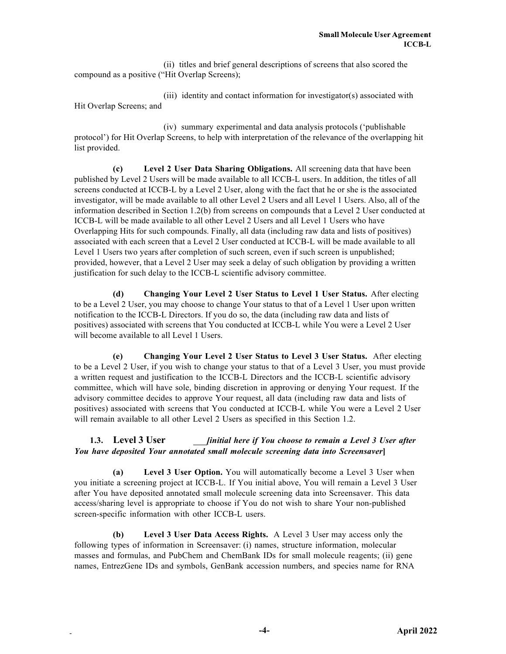(ii) titles and brief general descriptions of screens that also scored the compound as a positive ("Hit Overlap Screens);

(iii) identity and contact information for investigator(s) associated with Hit Overlap Screens; and

(iv) summary experimental and data analysis protocols ('publishable protocol') for Hit Overlap Screens, to help with interpretation of the relevance of the overlapping hit list provided.

**(c) Level 2 User Data Sharing Obligations.** All screening data that have been published by Level 2 Users will be made available to all ICCB-L users. In addition, the titles of all screens conducted at ICCB-L by a Level 2 User, along with the fact that he or she is the associated investigator, will be made available to all other Level 2 Users and all Level 1 Users. Also, all of the information described in Section 1.2(b) from screens on compounds that a Level 2 User conducted at ICCB-L will be made available to all other Level 2 Users and all Level 1 Users who have Overlapping Hits for such compounds. Finally, all data (including raw data and lists of positives) associated with each screen that a Level 2 User conducted at ICCB-L will be made available to all Level 1 Users two years after completion of such screen, even if such screen is unpublished; provided, however, that a Level 2 User may seek a delay of such obligation by providing a written justification for such delay to the ICCB-L scientific advisory committee.

**(d) Changing Your Level 2 User Status to Level 1 User Status.** After electing to be a Level 2 User, you may choose to change Your status to that of a Level 1 User upon written notification to the ICCB-L Directors. If you do so, the data (including raw data and lists of positives) associated with screens that You conducted at ICCB-L while You were a Level 2 User will become available to all Level 1 Users.

**(e) Changing Your Level 2 User Status to Level 3 User Status.** After electing to be a Level 2 User, if you wish to change your status to that of a Level 3 User, you must provide a written request and justification to the ICCB-L Directors and the ICCB-L scientific advisory committee, which will have sole, binding discretion in approving or denying Your request. If the advisory committee decides to approve Your request, all data (including raw data and lists of positives) associated with screens that You conducted at ICCB-L while You were a Level 2 User will remain available to all other Level 2 Users as specified in this Section 1.2.

## **1.3. Level 3 User** *[initial here if You choose to remain a Level 3 User after You have deposited Your annotated small molecule screening data into Screensaver***]**

**(a) Level 3 User Option.** You will automatically become a Level 3 User when you initiate a screening project at ICCB-L. If You initial above, You will remain a Level 3 User after You have deposited annotated small molecule screening data into Screensaver. This data access/sharing level is appropriate to choose if You do not wish to share Your non-published screen-specific information with other ICCB-L users.

**(b) Level 3 User Data Access Rights.** A Level 3 User may access only the following types of information in Screensaver: (i) names, structure information, molecular masses and formulas, and PubChem and ChemBank IDs for small molecule reagents; (ii) gene names, EntrezGene IDs and symbols, GenBank accession numbers, and species name for RNA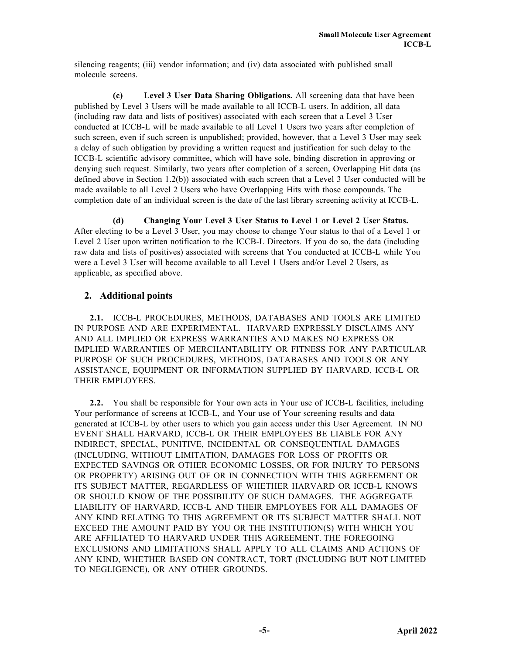silencing reagents; (iii) vendor information; and (iv) data associated with published small molecule screens.

**(c) Level 3 User Data Sharing Obligations.** All screening data that have been published by Level 3 Users will be made available to all ICCB-L users. In addition, all data (including raw data and lists of positives) associated with each screen that a Level 3 User conducted at ICCB-L will be made available to all Level 1 Users two years after completion of such screen, even if such screen is unpublished; provided, however, that a Level 3 User may seek a delay of such obligation by providing a written request and justification for such delay to the ICCB-L scientific advisory committee, which will have sole, binding discretion in approving or denying such request. Similarly, two years after completion of a screen, Overlapping Hit data (as defined above in Section 1.2(b)) associated with each screen that a Level 3 User conducted will be made available to all Level 2 Users who have Overlapping Hits with those compounds. The completion date of an individual screen is the date of the last library screening activity at ICCB-L.

**(d) Changing Your Level 3 User Status to Level 1 or Level 2 User Status.** After electing to be a Level 3 User, you may choose to change Your status to that of a Level 1 or Level 2 User upon written notification to the ICCB-L Directors. If you do so, the data (including raw data and lists of positives) associated with screens that You conducted at ICCB-L while You were a Level 3 User will become available to all Level 1 Users and/or Level 2 Users, as applicable, as specified above.

## **2. Additional points**

**2.1.** ICCB-L PROCEDURES, METHODS, DATABASES AND TOOLS ARE LIMITED IN PURPOSE AND ARE EXPERIMENTAL. HARVARD EXPRESSLY DISCLAIMS ANY AND ALL IMPLIED OR EXPRESS WARRANTIES AND MAKES NO EXPRESS OR IMPLIED WARRANTIES OF MERCHANTABILITY OR FITNESS FOR ANY PARTICULAR PURPOSE OF SUCH PROCEDURES, METHODS, DATABASES AND TOOLS OR ANY ASSISTANCE, EQUIPMENT OR INFORMATION SUPPLIED BY HARVARD, ICCB-L OR THEIR EMPLOYEES.

**2.2.** You shall be responsible for Your own acts in Your use of ICCB-L facilities, including Your performance of screens at ICCB-L, and Your use of Your screening results and data generated at ICCB-L by other users to which you gain access under this User Agreement. IN NO EVENT SHALL HARVARD, ICCB-L OR THEIR EMPLOYEES BE LIABLE FOR ANY INDIRECT, SPECIAL, PUNITIVE, INCIDENTAL OR CONSEQUENTIAL DAMAGES (INCLUDING, WITHOUT LIMITATION, DAMAGES FOR LOSS OF PROFITS OR EXPECTED SAVINGS OR OTHER ECONOMIC LOSSES, OR FOR INJURY TO PERSONS OR PROPERTY) ARISING OUT OF OR IN CONNECTION WITH THIS AGREEMENT OR ITS SUBJECT MATTER, REGARDLESS OF WHETHER HARVARD OR ICCB-L KNOWS OR SHOULD KNOW OF THE POSSIBILITY OF SUCH DAMAGES. THE AGGREGATE LIABILITY OF HARVARD, ICCB-L AND THEIR EMPLOYEES FOR ALL DAMAGES OF ANY KIND RELATING TO THIS AGREEMENT OR ITS SUBJECT MATTER SHALL NOT EXCEED THE AMOUNT PAID BY YOU OR THE INSTITUTION(S) WITH WHICH YOU ARE AFFILIATED TO HARVARD UNDER THIS AGREEMENT. THE FOREGOING EXCLUSIONS AND LIMITATIONS SHALL APPLY TO ALL CLAIMS AND ACTIONS OF ANY KIND, WHETHER BASED ON CONTRACT, TORT (INCLUDING BUT NOT LIMITED TO NEGLIGENCE), OR ANY OTHER GROUNDS.